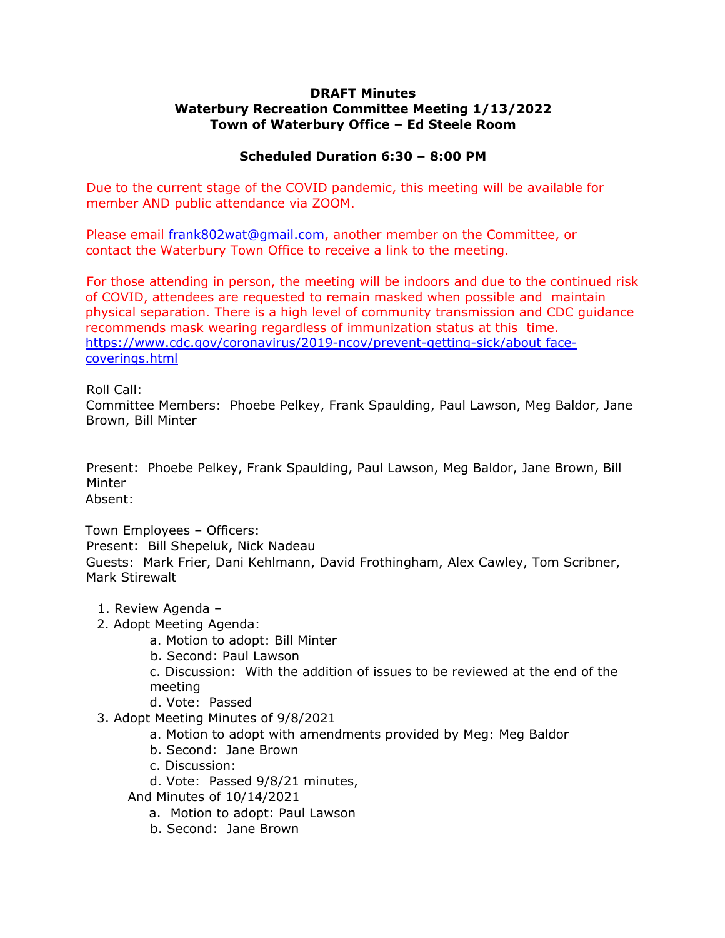# **DRAFT Minutes Waterbury Recreation Committee Meeting 1/13/2022 Town of Waterbury Office – Ed Steele Room**

# **Scheduled Duration 6:30 – 8:00 PM**

Due to the current stage of the COVID pandemic, this meeting will be available for member AND public attendance via ZOOM.

Please email frank802wat@gmail.com, another member on the Committee, or contact the Waterbury Town Office to receive a link to the meeting.

For those attending in person, the meeting will be indoors and due to the continued risk of COVID, attendees are requested to remain masked when possible and maintain physical separation. There is a high level of community transmission and CDC guidance recommends mask wearing regardless of immunization status at this time. https://www.cdc.gov/coronavirus/2019-ncov/prevent-getting-sick/about facecoverings.html

Roll Call:

Committee Members: Phoebe Pelkey, Frank Spaulding, Paul Lawson, Meg Baldor, Jane Brown, Bill Minter

Present: Phoebe Pelkey, Frank Spaulding, Paul Lawson, Meg Baldor, Jane Brown, Bill Minter Absent:

Town Employees – Officers: Present: Bill Shepeluk, Nick Nadeau Guests: Mark Frier, Dani Kehlmann, David Frothingham, Alex Cawley, Tom Scribner, Mark Stirewalt

- 1. Review Agenda –
- 2. Adopt Meeting Agenda:
	- a. Motion to adopt: Bill Minter
	- b. Second: Paul Lawson

c. Discussion: With the addition of issues to be reviewed at the end of the meeting

- d. Vote: Passed
- 3. Adopt Meeting Minutes of 9/8/2021
	- a. Motion to adopt with amendments provided by Meg: Meg Baldor
	- b. Second: Jane Brown
	- c. Discussion:
	- d. Vote: Passed 9/8/21 minutes,
	- And Minutes of 10/14/2021
		- a. Motion to adopt: Paul Lawson
		- b. Second: Jane Brown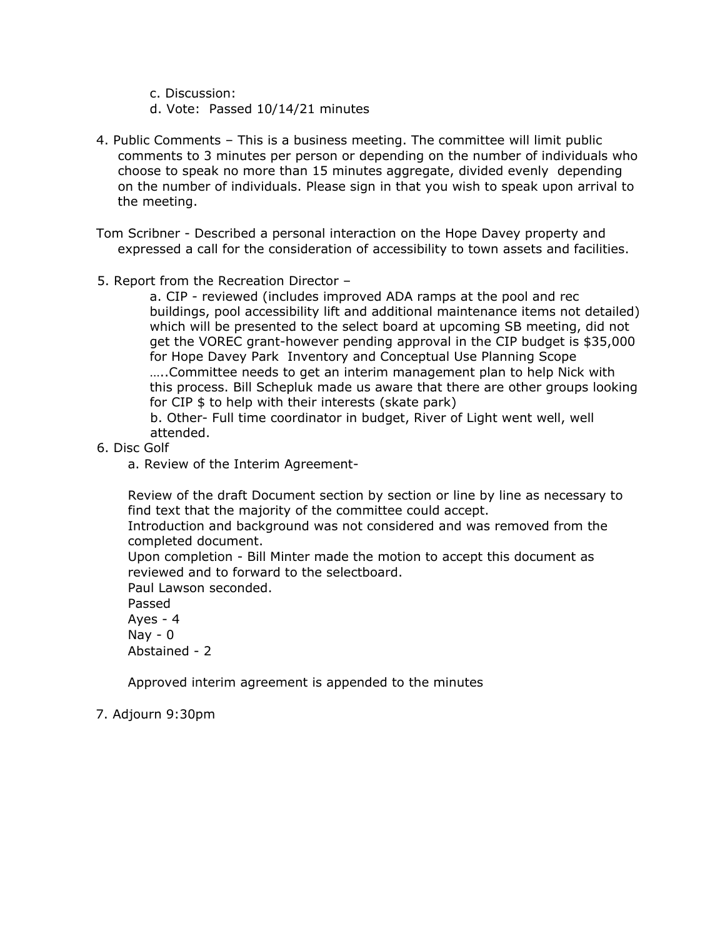- c. Discussion:
- d. Vote: Passed 10/14/21 minutes
- 4. Public Comments This is a business meeting. The committee will limit public comments to 3 minutes per person or depending on the number of individuals who choose to speak no more than 15 minutes aggregate, divided evenly depending on the number of individuals. Please sign in that you wish to speak upon arrival to the meeting.
- Tom Scribner Described a personal interaction on the Hope Davey property and expressed a call for the consideration of accessibility to town assets and facilities.
- 5. Report from the Recreation Director –

a. CIP - reviewed (includes improved ADA ramps at the pool and rec buildings, pool accessibility lift and additional maintenance items not detailed) which will be presented to the select board at upcoming SB meeting, did not get the VOREC grant-however pending approval in the CIP budget is \$35,000 for Hope Davey Park Inventory and Conceptual Use Planning Scope …..Committee needs to get an interim management plan to help Nick with this process. Bill Schepluk made us aware that there are other groups looking for CIP \$ to help with their interests (skate park)

b. Other- Full time coordinator in budget, River of Light went well, well attended.

- 6. Disc Golf
	- a. Review of the Interim Agreement-

Review of the draft Document section by section or line by line as necessary to find text that the majority of the committee could accept.

Introduction and background was not considered and was removed from the completed document.

Upon completion - Bill Minter made the motion to accept this document as reviewed and to forward to the selectboard.

Paul Lawson seconded.

Passed Ayes - 4  $\textsf{Nav} - \textsf{0}$ Abstained - 2

Approved interim agreement is appended to the minutes

7. Adjourn 9:30pm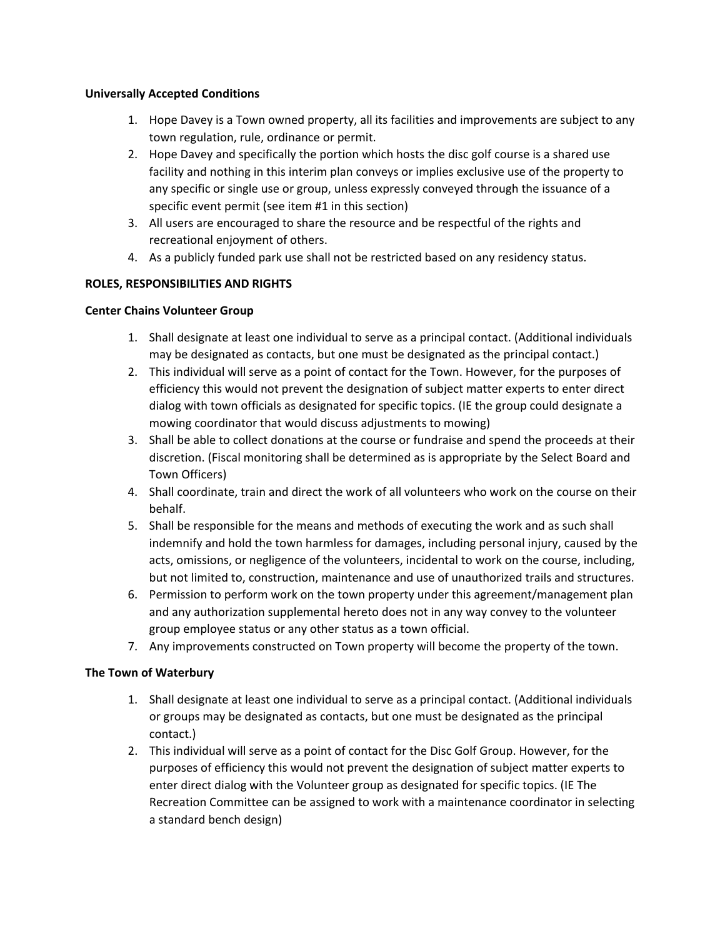### **Universally Accepted Conditions**

- 1. Hope Davey is a Town owned property, all its facilities and improvements are subject to any town regulation, rule, ordinance or permit.
- 2. Hope Davey and specifically the portion which hosts the disc golf course is a shared use facility and nothing in this interim plan conveys or implies exclusive use of the property to any specific or single use or group, unless expressly conveyed through the issuance of a specific event permit (see item #1 in this section)
- 3. All users are encouraged to share the resource and be respectful of the rights and recreational enjoyment of others.
- 4. As a publicly funded park use shall not be restricted based on any residency status.

## **ROLES, RESPONSIBILITIES AND RIGHTS**

### **Center Chains Volunteer Group**

- 1. Shall designate at least one individual to serve as a principal contact. (Additional individuals may be designated as contacts, but one must be designated as the principal contact.)
- 2. This individual will serve as a point of contact for the Town. However, for the purposes of efficiency this would not prevent the designation of subject matter experts to enter direct dialog with town officials as designated for specific topics. (IE the group could designate a mowing coordinator that would discuss adjustments to mowing)
- 3. Shall be able to collect donations at the course or fundraise and spend the proceeds at their discretion. (Fiscal monitoring shall be determined as is appropriate by the Select Board and Town Officers)
- 4. Shall coordinate, train and direct the work of all volunteers who work on the course on their behalf.
- 5. Shall be responsible for the means and methods of executing the work and as such shall indemnify and hold the town harmless for damages, including personal injury, caused by the acts, omissions, or negligence of the volunteers, incidental to work on the course, including, but not limited to, construction, maintenance and use of unauthorized trails and structures.
- 6. Permission to perform work on the town property under this agreement/management plan and any authorization supplemental hereto does not in any way convey to the volunteer group employee status or any other status as a town official.
- 7. Any improvements constructed on Town property will become the property of the town.

### **The Town of Waterbury**

- 1. Shall designate at least one individual to serve as a principal contact. (Additional individuals or groups may be designated as contacts, but one must be designated as the principal contact.)
- 2. This individual will serve as a point of contact for the Disc Golf Group. However, for the purposes of efficiency this would not prevent the designation of subject matter experts to enter direct dialog with the Volunteer group as designated for specific topics. (IE The Recreation Committee can be assigned to work with a maintenance coordinator in selecting a standard bench design)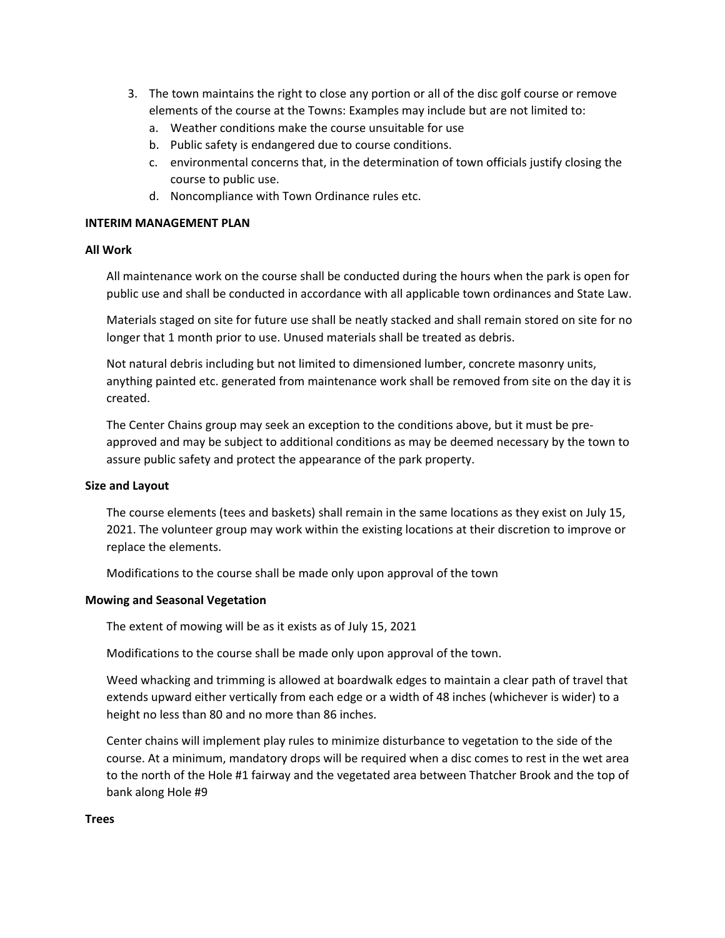- 3. The town maintains the right to close any portion or all of the disc golf course or remove elements of the course at the Towns: Examples may include but are not limited to:
	- a. Weather conditions make the course unsuitable for use
	- b. Public safety is endangered due to course conditions.
	- c. environmental concerns that, in the determination of town officials justify closing the course to public use.
	- d. Noncompliance with Town Ordinance rules etc.

#### **INTERIM MANAGEMENT PLAN**

#### **All Work**

All maintenance work on the course shall be conducted during the hours when the park is open for public use and shall be conducted in accordance with all applicable town ordinances and State Law.

Materials staged on site for future use shall be neatly stacked and shall remain stored on site for no longer that 1 month prior to use. Unused materials shall be treated as debris.

Not natural debris including but not limited to dimensioned lumber, concrete masonry units, anything painted etc. generated from maintenance work shall be removed from site on the day it is created.

The Center Chains group may seek an exception to the conditions above, but it must be preapproved and may be subject to additional conditions as may be deemed necessary by the town to assure public safety and protect the appearance of the park property.

### **Size and Layout**

The course elements (tees and baskets) shall remain in the same locations as they exist on July 15, 2021. The volunteer group may work within the existing locations at their discretion to improve or replace the elements.

Modifications to the course shall be made only upon approval of the town

### **Mowing and Seasonal Vegetation**

The extent of mowing will be as it exists as of July 15, 2021

Modifications to the course shall be made only upon approval of the town.

Weed whacking and trimming is allowed at boardwalk edges to maintain a clear path of travel that extends upward either vertically from each edge or a width of 48 inches (whichever is wider) to a height no less than 80 and no more than 86 inches.

Center chains will implement play rules to minimize disturbance to vegetation to the side of the course. At a minimum, mandatory drops will be required when a disc comes to rest in the wet area to the north of the Hole #1 fairway and the vegetated area between Thatcher Brook and the top of bank along Hole #9

#### **Trees**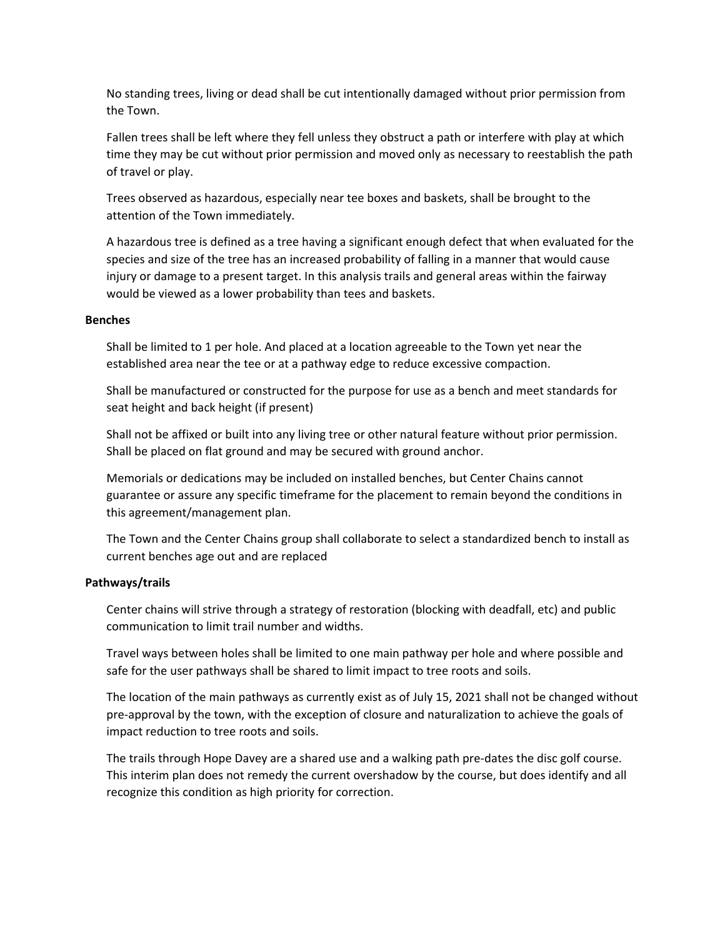No standing trees, living or dead shall be cut intentionally damaged without prior permission from the Town.

Fallen trees shall be left where they fell unless they obstruct a path or interfere with play at which time they may be cut without prior permission and moved only as necessary to reestablish the path of travel or play.

Trees observed as hazardous, especially near tee boxes and baskets, shall be brought to the attention of the Town immediately.

A hazardous tree is defined as a tree having a significant enough defect that when evaluated for the species and size of the tree has an increased probability of falling in a manner that would cause injury or damage to a present target. In this analysis trails and general areas within the fairway would be viewed as a lower probability than tees and baskets.

#### **Benches**

Shall be limited to 1 per hole. And placed at a location agreeable to the Town yet near the established area near the tee or at a pathway edge to reduce excessive compaction.

Shall be manufactured or constructed for the purpose for use as a bench and meet standards for seat height and back height (if present)

Shall not be affixed or built into any living tree or other natural feature without prior permission. Shall be placed on flat ground and may be secured with ground anchor.

Memorials or dedications may be included on installed benches, but Center Chains cannot guarantee or assure any specific timeframe for the placement to remain beyond the conditions in this agreement/management plan.

The Town and the Center Chains group shall collaborate to select a standardized bench to install as current benches age out and are replaced

### **Pathways/trails**

Center chains will strive through a strategy of restoration (blocking with deadfall, etc) and public communication to limit trail number and widths.

Travel ways between holes shall be limited to one main pathway per hole and where possible and safe for the user pathways shall be shared to limit impact to tree roots and soils.

The location of the main pathways as currently exist as of July 15, 2021 shall not be changed without pre-approval by the town, with the exception of closure and naturalization to achieve the goals of impact reduction to tree roots and soils.

The trails through Hope Davey are a shared use and a walking path pre-dates the disc golf course. This interim plan does not remedy the current overshadow by the course, but does identify and all recognize this condition as high priority for correction.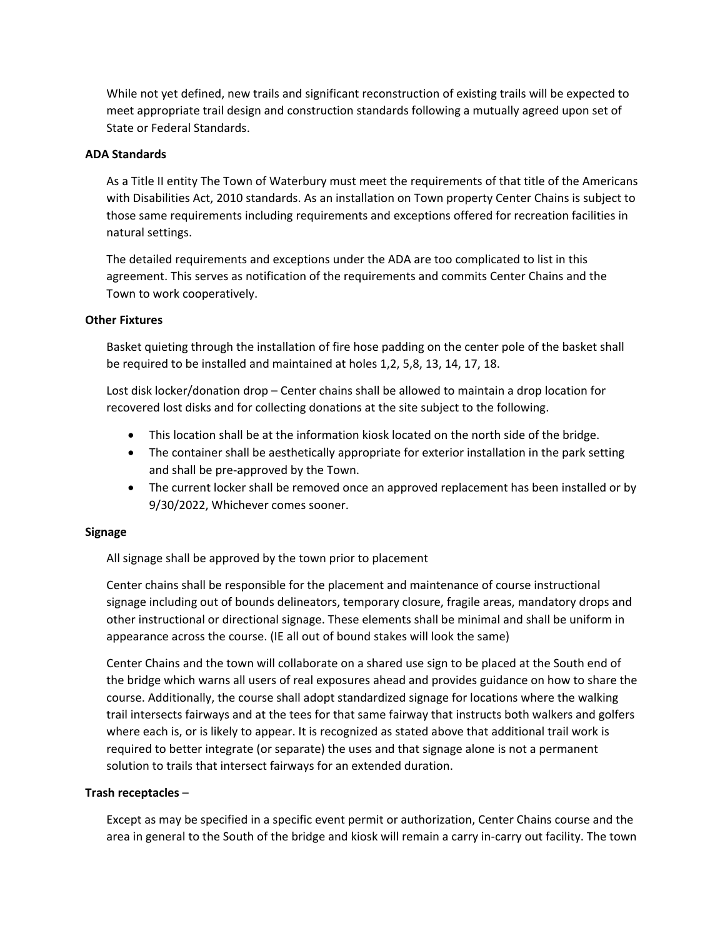While not yet defined, new trails and significant reconstruction of existing trails will be expected to meet appropriate trail design and construction standards following a mutually agreed upon set of State or Federal Standards.

#### **ADA Standards**

As a Title II entity The Town of Waterbury must meet the requirements of that title of the Americans with Disabilities Act, 2010 standards. As an installation on Town property Center Chains is subject to those same requirements including requirements and exceptions offered for recreation facilities in natural settings.

The detailed requirements and exceptions under the ADA are too complicated to list in this agreement. This serves as notification of the requirements and commits Center Chains and the Town to work cooperatively.

#### **Other Fixtures**

Basket quieting through the installation of fire hose padding on the center pole of the basket shall be required to be installed and maintained at holes 1,2, 5,8, 13, 14, 17, 18.

Lost disk locker/donation drop – Center chains shall be allowed to maintain a drop location for recovered lost disks and for collecting donations at the site subject to the following.

- This location shall be at the information kiosk located on the north side of the bridge.
- The container shall be aesthetically appropriate for exterior installation in the park setting and shall be pre-approved by the Town.
- The current locker shall be removed once an approved replacement has been installed or by 9/30/2022, Whichever comes sooner.

### **Signage**

All signage shall be approved by the town prior to placement

Center chains shall be responsible for the placement and maintenance of course instructional signage including out of bounds delineators, temporary closure, fragile areas, mandatory drops and other instructional or directional signage. These elements shall be minimal and shall be uniform in appearance across the course. (IE all out of bound stakes will look the same)

Center Chains and the town will collaborate on a shared use sign to be placed at the South end of the bridge which warns all users of real exposures ahead and provides guidance on how to share the course. Additionally, the course shall adopt standardized signage for locations where the walking trail intersects fairways and at the tees for that same fairway that instructs both walkers and golfers where each is, or is likely to appear. It is recognized as stated above that additional trail work is required to better integrate (or separate) the uses and that signage alone is not a permanent solution to trails that intersect fairways for an extended duration.

### **Trash receptacles** –

Except as may be specified in a specific event permit or authorization, Center Chains course and the area in general to the South of the bridge and kiosk will remain a carry in-carry out facility. The town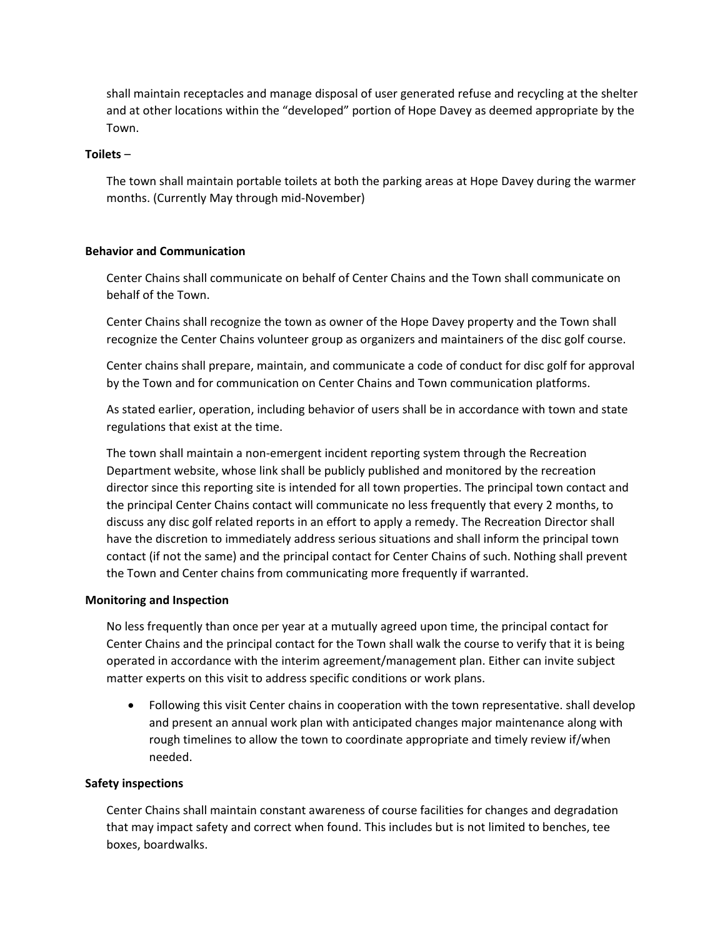shall maintain receptacles and manage disposal of user generated refuse and recycling at the shelter and at other locations within the "developed" portion of Hope Davey as deemed appropriate by the Town.

### **Toilets** –

The town shall maintain portable toilets at both the parking areas at Hope Davey during the warmer months. (Currently May through mid-November)

#### **Behavior and Communication**

Center Chains shall communicate on behalf of Center Chains and the Town shall communicate on behalf of the Town.

Center Chains shall recognize the town as owner of the Hope Davey property and the Town shall recognize the Center Chains volunteer group as organizers and maintainers of the disc golf course.

Center chains shall prepare, maintain, and communicate a code of conduct for disc golf for approval by the Town and for communication on Center Chains and Town communication platforms.

As stated earlier, operation, including behavior of users shall be in accordance with town and state regulations that exist at the time.

The town shall maintain a non-emergent incident reporting system through the Recreation Department website, whose link shall be publicly published and monitored by the recreation director since this reporting site is intended for all town properties. The principal town contact and the principal Center Chains contact will communicate no less frequently that every 2 months, to discuss any disc golf related reports in an effort to apply a remedy. The Recreation Director shall have the discretion to immediately address serious situations and shall inform the principal town contact (if not the same) and the principal contact for Center Chains of such. Nothing shall prevent the Town and Center chains from communicating more frequently if warranted.

### **Monitoring and Inspection**

No less frequently than once per year at a mutually agreed upon time, the principal contact for Center Chains and the principal contact for the Town shall walk the course to verify that it is being operated in accordance with the interim agreement/management plan. Either can invite subject matter experts on this visit to address specific conditions or work plans.

• Following this visit Center chains in cooperation with the town representative. shall develop and present an annual work plan with anticipated changes major maintenance along with rough timelines to allow the town to coordinate appropriate and timely review if/when needed.

#### **Safety inspections**

Center Chains shall maintain constant awareness of course facilities for changes and degradation that may impact safety and correct when found. This includes but is not limited to benches, tee boxes, boardwalks.